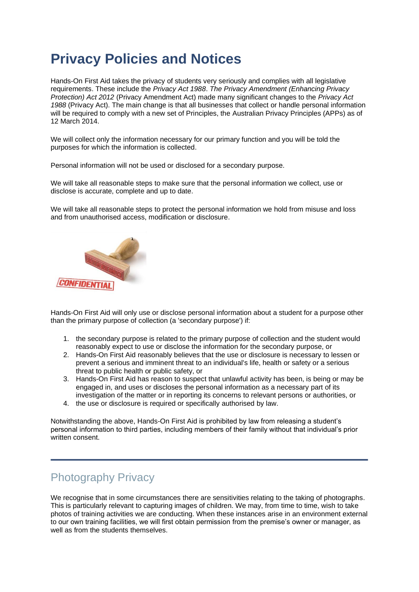## **Privacy Policies and Notices**

Hands-On First Aid takes the privacy of students very seriously and complies with all legislative requirements. These include the *Privacy Act 1988*. *The Privacy Amendment (Enhancing Privacy Protection) Act 2012* (Privacy Amendment Act) made many significant changes to the *Privacy Act 1988* (Privacy Act). The main change is that all businesses that collect or handle personal information will be required to comply with a new set of Principles, the Australian Privacy Principles (APPs) as of 12 March 2014.

We will collect only the information necessary for our primary function and you will be told the purposes for which the information is collected.

Personal information will not be used or disclosed for a secondary purpose.

We will take all reasonable steps to make sure that the personal information we collect, use or disclose is accurate, complete and up to date.

We will take all reasonable steps to protect the personal information we hold from misuse and loss and from unauthorised access, modification or disclosure.



Hands-On First Aid will only use or disclose personal information about a student for a purpose other than the primary purpose of collection (a 'secondary purpose') if:

- 1. the secondary purpose is related to the primary purpose of collection and the student would reasonably expect to use or disclose the information for the secondary purpose, or
- 2. Hands-On First Aid reasonably believes that the use or disclosure is necessary to lessen or prevent a serious and imminent threat to an individual's life, health or safety or a serious threat to public health or public safety, or
- 3. Hands-On First Aid has reason to suspect that unlawful activity has been, is being or may be engaged in, and uses or discloses the personal information as a necessary part of its investigation of the matter or in reporting its concerns to relevant persons or authorities, or
- 4. the use or disclosure is required or specifically authorised by law.

Notwithstanding the above, Hands-On First Aid is prohibited by law from releasing a student's personal information to third parties, including members of their family without that individual's prior written consent.

## Photography Privacy

We recognise that in some circumstances there are sensitivities relating to the taking of photographs. This is particularly relevant to capturing images of children. We may, from time to time, wish to take photos of training activities we are conducting. When these instances arise in an environment external to our own training facilities, we will first obtain permission from the premise's owner or manager, as well as from the students themselves.